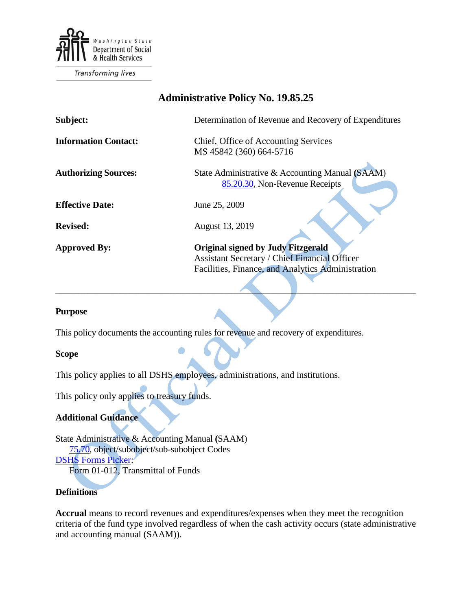

**Transforming lives** 

# **Administrative Policy No. 19.85.25**

| Subject:                    | Determination of Revenue and Recovery of Expenditures |
|-----------------------------|-------------------------------------------------------|
| <b>Information Contact:</b> | Chief, Office of Accounting Services                  |
|                             | MS 45842 (360) 664-5716                               |
|                             |                                                       |
| <b>Authorizing Sources:</b> | State Administrative & Accounting Manual (SAAM)       |
|                             | 85.20.30, Non-Revenue Receipts                        |
|                             |                                                       |
| <b>Effective Date:</b>      | June 25, 2009                                         |
|                             |                                                       |
| <b>Revised:</b>             | August 13, 2019                                       |
|                             |                                                       |
| <b>Approved By:</b>         | <b>Original signed by Judy Fitzgerald</b>             |
|                             | <b>Assistant Secretary / Chief Financial Officer</b>  |
|                             | Facilities, Finance, and Analytics Administration     |
|                             |                                                       |

 $\overbrace{\phantom{a}}$ 

#### **Purpose**

This policy documents the accounting rules for revenue and recovery of expenditures.

#### **Scope**

This policy applies to all DSHS employees, administrations, and institutions.

This policy only applies to treasury funds.

## **Additional Guidance**

State Administrative & Accounting Manual **(**SAAM) [75.70,](http://www.ofm.wa.gov/policy/75.70.htm) object/subobject/sub-subobject Codes [DSHS Forms Picker:](http://forms.dshs.wa.lcl/) Form 01-012, Transmittal of Funds

# **Definitions**

**Accrual** means to record revenues and expenditures/expenses when they meet the recognition criteria of the fund type involved regardless of when the cash activity occurs (state administrative and accounting manual (SAAM)).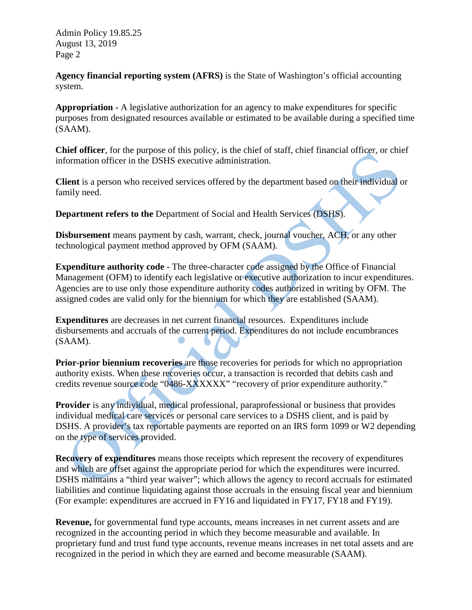**Agency financial reporting system (AFRS)** is the State of Washington's official accounting system.

**Appropriation -** A legislative authorization for an agency to make expenditures for specific purposes from designated resources available or estimated to be available during a specified time (SAAM).

**Chief officer**, for the purpose of this policy, is the chief of staff, chief financial officer, or chief information officer in the DSHS executive administration.

**Client** is a person who received services offered by the department based on their individual or family need.

**Department refers to the** Department of Social and Health Services (DSHS).

**Disbursement** means payment by cash, warrant, check, journal voucher, ACH, or any other technological payment method approved by OFM (SAAM).

**Expenditure authority code -** The three-character code assigned by the Office of Financial Management (OFM) to identify each legislative or executive authorization to incur expenditures. Agencies are to use only those expenditure authority codes authorized in writing by OFM. The assigned codes are valid only for the biennium for which they are established (SAAM).

**Expenditures** are decreases in net current financial resources. Expenditures include disbursements and accruals of the current period. Expenditures do not include encumbrances (SAAM).

**Prior-prior biennium recoveries** are those recoveries for periods for which no appropriation authority exists. When these recoveries occur, a transaction is recorded that debits cash and credits revenue source code "0486-XXXXXX" "recovery of prior expenditure authority."

**Provider** is any individual, medical professional, paraprofessional or business that provides individual medical care services or personal care services to a DSHS client, and is paid by DSHS. A provider's tax reportable payments are reported on an IRS form 1099 or W2 depending on the type of services provided.

**Recovery of expenditures** means those receipts which represent the recovery of expenditures and which are offset against the appropriate period for which the expenditures were incurred. DSHS maintains a "third year waiver"; which allows the agency to record accruals for estimated liabilities and continue liquidating against those accruals in the ensuing fiscal year and biennium (For example: expenditures are accrued in FY16 and liquidated in FY17, FY18 and FY19).

**Revenue,** for governmental fund type accounts, means increases in net current assets and are recognized in the accounting period in which they become measurable and available. In proprietary fund and trust fund type accounts, revenue means increases in net total assets and are recognized in the period in which they are earned and become measurable (SAAM).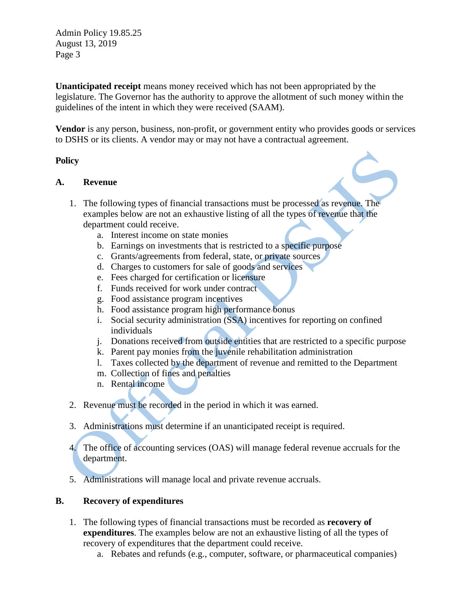**Unanticipated receipt** means money received which has not been appropriated by the legislature. The Governor has the authority to approve the allotment of such money within the guidelines of the intent in which they were received (SAAM).

**Vendor** is any person, business, non-profit, or government entity who provides goods or services to DSHS or its clients. A vendor may or may not have a contractual agreement.

## **Policy**

## **A. Revenue**

- 1. The following types of financial transactions must be processed as revenue. The examples below are not an exhaustive listing of all the types of revenue that the department could receive.
	- a. Interest income on state monies
	- b. Earnings on investments that is restricted to a specific purpose
	- c. Grants/agreements from federal, state, or private sources
	- d. Charges to customers for sale of goods and services
	- e. Fees charged for certification or licensure
	- f. Funds received for work under contract
	- g. Food assistance program incentives
	- h. Food assistance program high performance bonus
	- i. Social security administration (SSA) incentives for reporting on confined individuals
	- j. Donations received from outside entities that are restricted to a specific purpose
	- k. Parent pay monies from the juvenile rehabilitation administration
	- l. Taxes collected by the department of revenue and remitted to the Department
	- m. Collection of fines and penalties
	- n. Rental income
- 2. Revenue must be recorded in the period in which it was earned.
- 3. Administrations must determine if an unanticipated receipt is required.
- 4. The office of accounting services (OAS) will manage federal revenue accruals for the department.
- 5. Administrations will manage local and private revenue accruals.

## **B. Recovery of expenditures**

- 1. The following types of financial transactions must be recorded as **recovery of expenditures**. The examples below are not an exhaustive listing of all the types of recovery of expenditures that the department could receive.
	- a. Rebates and refunds (e.g., computer, software, or pharmaceutical companies)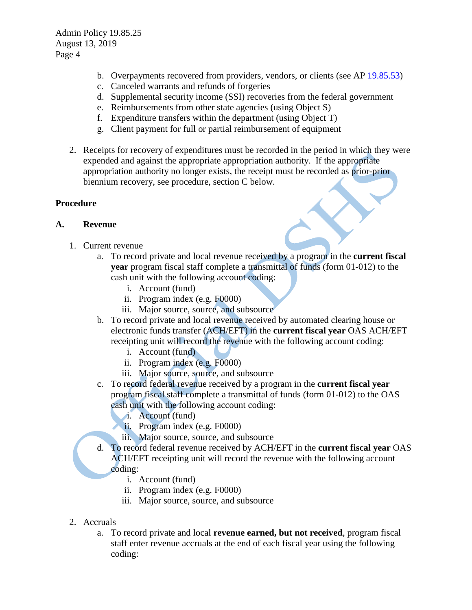- b. Overpayments recovered from providers, vendors, or clients (see AP [19.85.53\)](http://one.dshs.wa.lcl/Policies/Administrative/DSHS-AP-19-85-53.pdf)
- c. Canceled warrants and refunds of forgeries
- d. Supplemental security income (SSI) recoveries from the federal government
- e. Reimbursements from other state agencies (using Object S)
- f. Expenditure transfers within the department (using Object T)
- g. Client payment for full or partial reimbursement of equipment
- 2. Receipts for recovery of expenditures must be recorded in the period in which they were expended and against the appropriate appropriation authority. If the appropriate appropriation authority no longer exists, the receipt must be recorded as prior-prior biennium recovery, see procedure, section C below.

# **Procedure**

# **A. Revenue**

- 1. Current revenue
	- a. To record private and local revenue received by a program in the **current fiscal year** program fiscal staff complete a transmittal of funds (form 01-012) to the cash unit with the following account coding:
		- i. Account (fund)
		- ii. Program index (e.g. F0000)
		- iii. Major source, source, and subsource
	- b. To record private and local revenue received by automated clearing house or electronic funds transfer (ACH/EFT) in the **current fiscal year** OAS ACH/EFT receipting unit will record the revenue with the following account coding:
		- i. Account (fund)
		- ii. Program index (e.g. F0000)
		- iii. Major source, source, and subsource
	- c. To record federal revenue received by a program in the **current fiscal year** program fiscal staff complete a transmittal of funds (form 01-012) to the OAS cash unit with the following account coding:
		- i. Account (fund)
		- ii. Program index (e.g. F0000)
			- iii. Major source, source, and subsource
	- d. To record federal revenue received by ACH/EFT in the **current fiscal year** OAS ACH/EFT receipting unit will record the revenue with the following account coding:
		- i. Account (fund)
		- ii. Program index (e.g. F0000)
		- iii. Major source, source, and subsource
- 2. Accruals
	- a. To record private and local **revenue earned, but not received**, program fiscal staff enter revenue accruals at the end of each fiscal year using the following coding: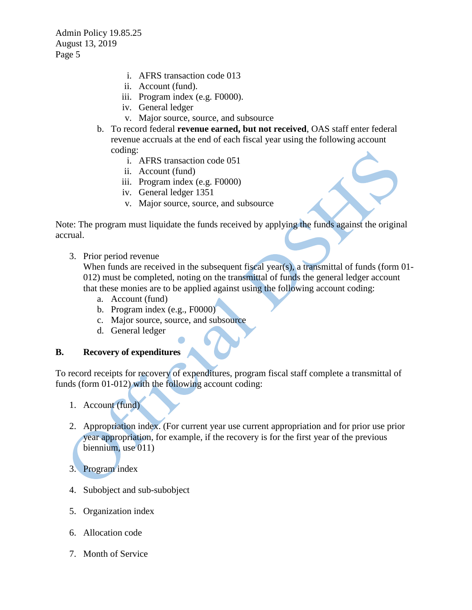- i. AFRS transaction code 013
- ii. Account (fund).
- iii. Program index (e.g. F0000).
- iv. General ledger
- v. Major source, source, and subsource
- b. To record federal **revenue earned, but not received**, OAS staff enter federal revenue accruals at the end of each fiscal year using the following account coding:
	- i. AFRS transaction code 051
	- ii. Account (fund)
	- iii. Program index (e.g. F0000)
	- iv. General ledger 1351
	- v. Major source, source, and subsource

Note: The program must liquidate the funds received by applying the funds against the original accrual.

3. Prior period revenue

When funds are received in the subsequent fiscal year(s), a transmittal of funds (form 01-012) must be completed, noting on the transmittal of funds the general ledger account that these monies are to be applied against using the following account coding:

- a. Account (fund)
- b. Program index (e.g., F0000)
- c. Major source, source, and subsource
- d. General ledger

## **B. Recovery of expenditures**

To record receipts for recovery of expenditures, program fiscal staff complete a transmittal of funds (form 01-012) with the following account coding:

- 1. Account (fund)
- 2. Appropriation index. (For current year use current appropriation and for prior use prior year appropriation, for example, if the recovery is for the first year of the previous biennium, use 011)
- 3. Program index
- 4. Subobject and sub-subobject
- 5. Organization index
- 6. Allocation code
- 7. Month of Service